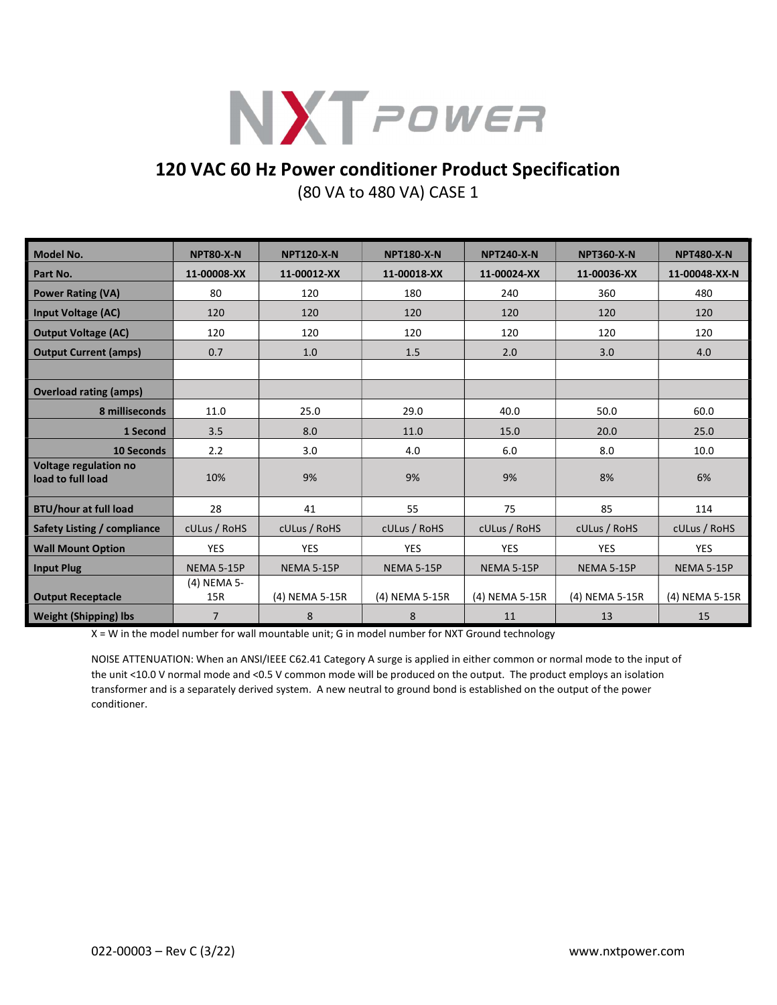

## 120 VAC 60 Hz Power conditioner Product Specification

(80 VA to 480 VA) CASE 1

| <b>Model No.</b>                           | <b>NPT80-X-N</b>   | <b>NPT120-X-N</b> | <b>NPT180-X-N</b> | <b>NPT240-X-N</b> | <b>NPT360-X-N</b> | <b>NPT480-X-N</b> |
|--------------------------------------------|--------------------|-------------------|-------------------|-------------------|-------------------|-------------------|
| Part No.                                   | 11-00008-XX        | 11-00012-XX       | 11-00018-XX       | 11-00024-XX       | 11-00036-XX       | 11-00048-XX-N     |
| <b>Power Rating (VA)</b>                   | 80                 | 120               | 180               | 240               | 360               | 480               |
| <b>Input Voltage (AC)</b>                  | 120                | 120               | 120               | 120               | 120               | 120               |
| <b>Output Voltage (AC)</b>                 | 120                | 120               | 120               | 120               | 120               | 120               |
| <b>Output Current (amps)</b>               | 0.7                | 1.0               | 1.5               | 2.0               | 3.0               | 4.0               |
|                                            |                    |                   |                   |                   |                   |                   |
| <b>Overload rating (amps)</b>              |                    |                   |                   |                   |                   |                   |
| 8 milliseconds                             | 11.0               | 25.0              | 29.0              | 40.0              | 50.0              | 60.0              |
| 1 Second                                   | 3.5                | 8.0               | 11.0              | 15.0              | 20.0              | 25.0              |
| <b>10 Seconds</b>                          | 2.2                | 3.0               | 4.0               | 6.0               | 8.0               | 10.0              |
| Voltage regulation no<br>load to full load | 10%                | 9%                | 9%                | 9%                | 8%                | 6%                |
| <b>BTU/hour at full load</b>               | 28                 | 41                | 55                | 75                | 85                | 114               |
| Safety Listing / compliance                | cULus / RoHS       | cULus / RoHS      | cULus / RoHS      | cULus / RoHS      | cULus / RoHS      | cULus / RoHS      |
| <b>Wall Mount Option</b>                   | <b>YES</b>         | <b>YES</b>        | <b>YES</b>        | <b>YES</b>        | <b>YES</b>        | <b>YES</b>        |
| <b>Input Plug</b>                          | <b>NEMA 5-15P</b>  | <b>NEMA 5-15P</b> | <b>NEMA 5-15P</b> | <b>NEMA 5-15P</b> | <b>NEMA 5-15P</b> | <b>NEMA 5-15P</b> |
| <b>Output Receptacle</b>                   | (4) NEMA 5-<br>15R | (4) NEMA 5-15R    | (4) NEMA 5-15R    | (4) NEMA 5-15R    | (4) NEMA 5-15R    | (4) NEMA 5-15R    |
| <b>Weight (Shipping) lbs</b>               | $\overline{7}$     | 8                 | 8                 | 11                | 13                | 15                |

X = W in the model number for wall mountable unit; G in model number for NXT Ground technology

NOISE ATTENUATION: When an ANSI/IEEE C62.41 Category A surge is applied in either common or normal mode to the input of the unit <10.0 V normal mode and <0.5 V common mode will be produced on the output. The product employs an isolation transformer and is a separately derived system. A new neutral to ground bond is established on the output of the power conditioner.